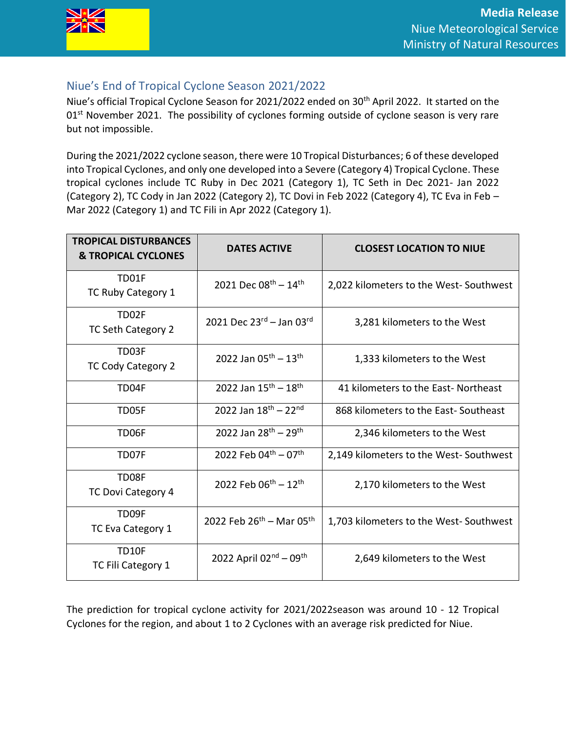

## Niue's End of Tropical Cyclone Season 2021/2022

Niue's official Tropical Cyclone Season for 2021/2022 ended on 30<sup>th</sup> April 2022. It started on the 01<sup>st</sup> November 2021. The possibility of cyclones forming outside of cyclone season is very rare but not impossible.

During the 2021/2022 cyclone season, there were 10 Tropical Disturbances; 6 of these developed into Tropical Cyclones, and only one developed into a Severe (Category 4) Tropical Cyclone. These tropical cyclones include TC Ruby in Dec 2021 (Category 1), TC Seth in Dec 2021- Jan 2022 (Category 2), TC Cody in Jan 2022 (Category 2), TC Dovi in Feb 2022 (Category 4), TC Eva in Feb – Mar 2022 (Category 1) and TC Fili in Apr 2022 (Category 1).

| <b>TROPICAL DISTURBANCES</b><br><b>&amp; TROPICAL CYCLONES</b> | <b>DATES ACTIVE</b>                        | <b>CLOSEST LOCATION TO NIUE</b>        |
|----------------------------------------------------------------|--------------------------------------------|----------------------------------------|
| TD01F<br>TC Ruby Category 1                                    | 2021 Dec $08^{\text{th}} - 14^{\text{th}}$ | 2,022 kilometers to the West-Southwest |
| TD02F<br>TC Seth Category 2                                    | 2021 Dec $23^{rd}$ – Jan 03rd              | 3,281 kilometers to the West           |
| TD03F<br>TC Cody Category 2                                    | 2022 Jan $05^{\text{th}} - 13^{\text{th}}$ | 1,333 kilometers to the West           |
| TD04F                                                          | 2022 Jan $15^{\text{th}} - 18^{\text{th}}$ | 41 kilometers to the East-Northeast    |
| TD05F                                                          | 2022 Jan $18^{th}$ - 22 <sup>nd</sup>      | 868 kilometers to the East-Southeast   |
| TD06F                                                          | 2022 Jan $28^{th} - 29^{th}$               | 2,346 kilometers to the West           |
| TD07F                                                          | 2022 Feb 04th - 07th                       | 2,149 kilometers to the West-Southwest |
| TD08F<br>TC Dovi Category 4                                    | 2022 Feb $06^{th} - 12^{th}$               | 2,170 kilometers to the West           |
| TD09F<br>TC Eva Category 1                                     | 2022 Feb 26th - Mar 05th                   | 1,703 kilometers to the West-Southwest |
| TD10F<br>TC Fili Category 1                                    | 2022 April $02^{nd} - 09^{th}$             | 2,649 kilometers to the West           |

The prediction for tropical cyclone activity for 2021/2022season was around 10 - 12 Tropical Cyclones for the region, and about 1 to 2 Cyclones with an average risk predicted for Niue.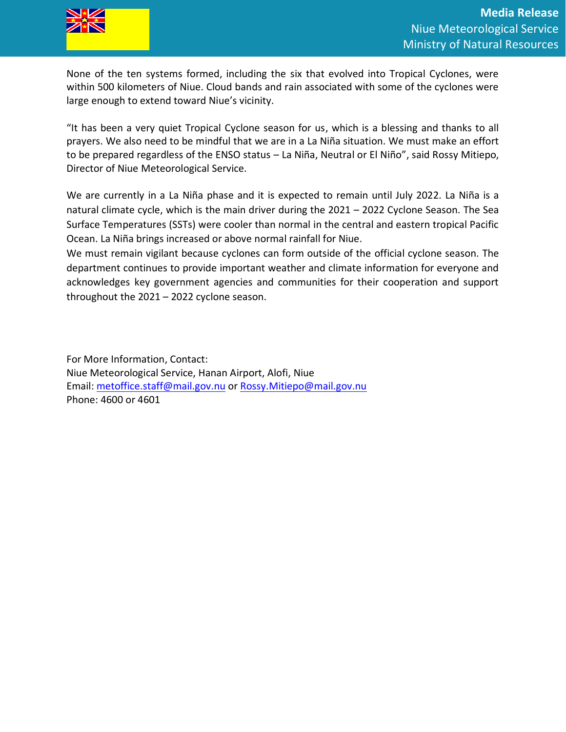

None of the ten systems formed, including the six that evolved into Tropical Cyclones, were within 500 kilometers of Niue. Cloud bands and rain associated with some of the cyclones were large enough to extend toward Niue's vicinity.

"It has been a very quiet Tropical Cyclone season for us, which is a blessing and thanks to all prayers. We also need to be mindful that we are in a La Niña situation. We must make an effort to be prepared regardless of the ENSO status – La Niña, Neutral or El Niño", said Rossy Mitiepo, Director of Niue Meteorological Service.

We are currently in a La Niña phase and it is expected to remain until July 2022. La Niña is a natural climate cycle, which is the main driver during the 2021 – 2022 Cyclone Season. The Sea Surface Temperatures (SSTs) were cooler than normal in the central and eastern tropical Pacific Ocean. La Niña brings increased or above normal rainfall for Niue.

We must remain vigilant because cyclones can form outside of the official cyclone season. The department continues to provide important weather and climate information for everyone and acknowledges key government agencies and communities for their cooperation and support throughout the 2021 – 2022 cyclone season.

For More Information, Contact: Niue Meteorological Service, Hanan Airport, Alofi, Niue Email: [metoffice.staff@mail.gov.nu](mailto:metoffice.staff@mail.gov.nu) or [Rossy.Mitiepo@mail.gov.nu](mailto:Rossy.Mitiepo@mail.gov.nu) Phone: 4600 or 4601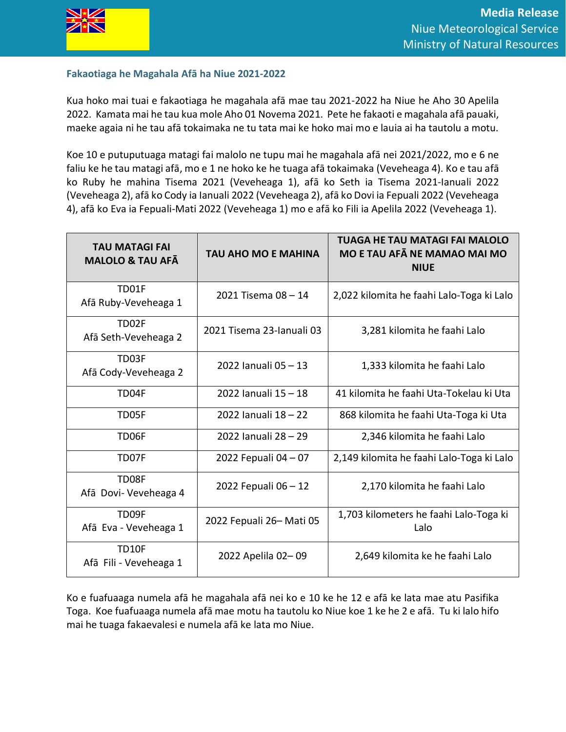

## **Fakaotiaga he Magahala Afā ha Niue 2021-2022**

Kua hoko mai tuai e fakaotiaga he magahala afā mae tau 2021-2022 ha Niue he Aho 30 Apelila 2022. Kamata mai he tau kua mole Aho 01 Novema 2021. Pete he fakaoti e magahala afā pauaki, maeke agaia ni he tau afā tokaimaka ne tu tata mai ke hoko mai mo e lauia ai ha tautolu a motu.

Koe 10 e putuputuaga matagi fai malolo ne tupu mai he magahala afā nei 2021/2022, mo e 6 ne faliu ke he tau matagi afā, mo e 1 ne hoko ke he tuaga afā tokaimaka (Veveheaga 4). Ko e tau afā ko Ruby he mahina Tisema 2021 (Veveheaga 1), afā ko Seth ia Tisema 2021-Ianuali 2022 (Veveheaga 2), afā ko Cody ia Ianuali 2022 (Veveheaga 2), afā ko Dovi ia Fepuali 2022 (Veveheaga 4), afā ko Eva ia Fepuali-Mati 2022 (Veveheaga 1) mo e afā ko Fili ia Apelila 2022 (Veveheaga 1).

| <b>TAU MATAGI FAI</b><br><b>MALOLO &amp; TAU AFA</b> | <b>TAU AHO MO E MAHINA</b> | TUAGA HE TAU MATAGI FAI MALOLO<br>MO E TAU AFĀ NE MAMAO MAI MO<br><b>NIUE</b> |
|------------------------------------------------------|----------------------------|-------------------------------------------------------------------------------|
| TD01F<br>Afā Ruby-Veveheaga 1                        | 2021 Tisema 08 - 14        | 2,022 kilomita he faahi Lalo-Toga ki Lalo                                     |
| TD02F<br>Afā Seth-Veveheaga 2                        | 2021 Tisema 23-lanuali 03  | 3,281 kilomita he faahi Lalo                                                  |
| TD03F<br>Afā Cody-Veveheaga 2                        | 2022 Ianuali 05-13         | 1,333 kilomita he faahi Lalo                                                  |
| TD04F                                                | 2022 Ianuali 15 - 18       | 41 kilomita he faahi Uta-Tokelau ki Uta                                       |
| TD05F                                                | 2022 Ianuali 18 - 22       | 868 kilomita he faahi Uta-Toga ki Uta                                         |
| TD06F                                                | 2022 Ianuali 28 - 29       | 2,346 kilomita he faahi Lalo                                                  |
| TD07F                                                | 2022 Fepuali 04 - 07       | 2,149 kilomita he faahi Lalo-Toga ki Lalo                                     |
| TD08F<br>Afā Dovi- Veveheaga 4                       | 2022 Fepuali 06 - 12       | 2,170 kilomita he faahi Lalo                                                  |
| TD09F<br>Afā Eva - Veveheaga 1                       | 2022 Fepuali 26-Mati 05    | 1,703 kilometers he faahi Lalo-Toga ki<br>Lalo                                |
| <b>TD10F</b><br>Afā Fili - Veveheaga 1               | 2022 Apelila 02-09         | 2,649 kilomita ke he faahi Lalo                                               |

Ko e fuafuaaga numela afā he magahala afā nei ko e 10 ke he 12 e afā ke lata mae atu Pasifika Toga. Koe fuafuaaga numela afā mae motu ha tautolu ko Niue koe 1 ke he 2 e afā. Tu ki lalo hifo mai he tuaga fakaevalesi e numela afā ke lata mo Niue.